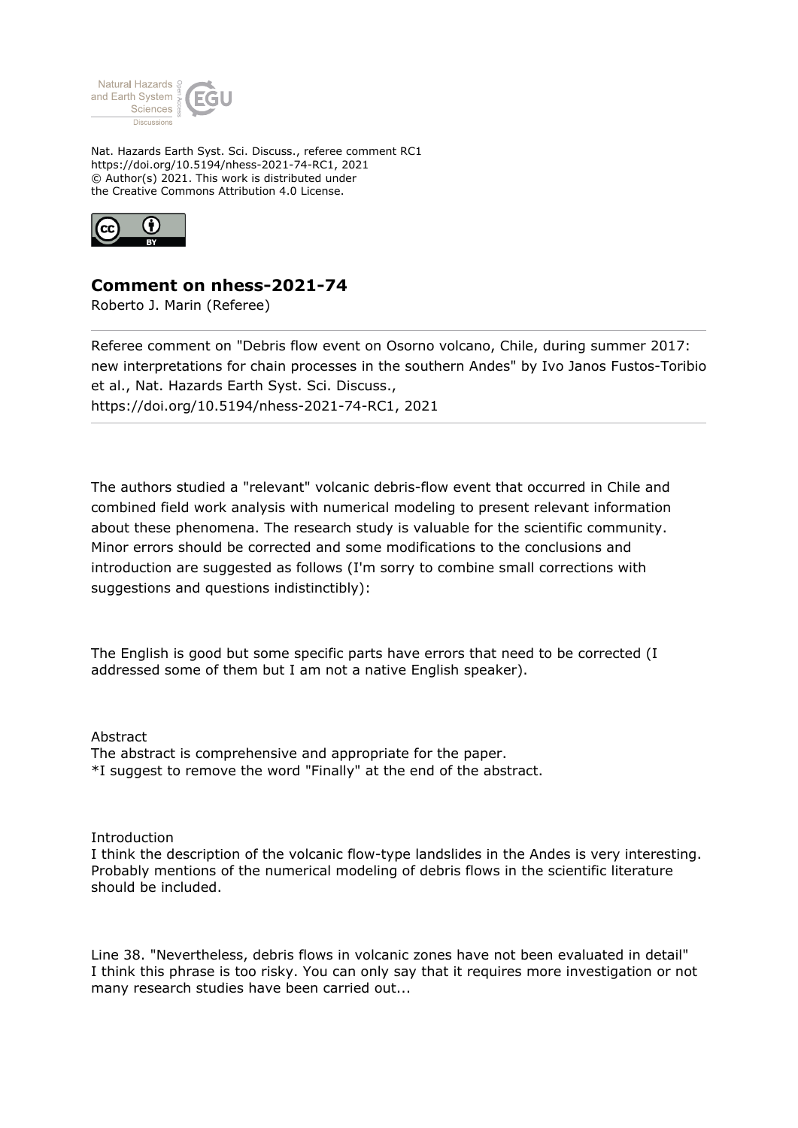

Nat. Hazards Earth Syst. Sci. Discuss., referee comment RC1 https://doi.org/10.5194/nhess-2021-74-RC1, 2021 © Author(s) 2021. This work is distributed under the Creative Commons Attribution 4.0 License.



## **Comment on nhess-2021-74**

Roberto J. Marin (Referee)

Referee comment on "Debris flow event on Osorno volcano, Chile, during summer 2017: new interpretations for chain processes in the southern Andes" by Ivo Janos Fustos-Toribio et al., Nat. Hazards Earth Syst. Sci. Discuss., https://doi.org/10.5194/nhess-2021-74-RC1, 2021

The authors studied a "relevant" volcanic debris-flow event that occurred in Chile and combined field work analysis with numerical modeling to present relevant information about these phenomena. The research study is valuable for the scientific community. Minor errors should be corrected and some modifications to the conclusions and introduction are suggested as follows (I'm sorry to combine small corrections with suggestions and questions indistinctibly):

The English is good but some specific parts have errors that need to be corrected (I addressed some of them but I am not a native English speaker).

Abstract The abstract is comprehensive and appropriate for the paper. \*I suggest to remove the word "Finally" at the end of the abstract.

## Introduction

I think the description of the volcanic flow-type landslides in the Andes is very interesting. Probably mentions of the numerical modeling of debris flows in the scientific literature should be included.

Line 38. "Nevertheless, debris flows in volcanic zones have not been evaluated in detail" I think this phrase is too risky. You can only say that it requires more investigation or not many research studies have been carried out...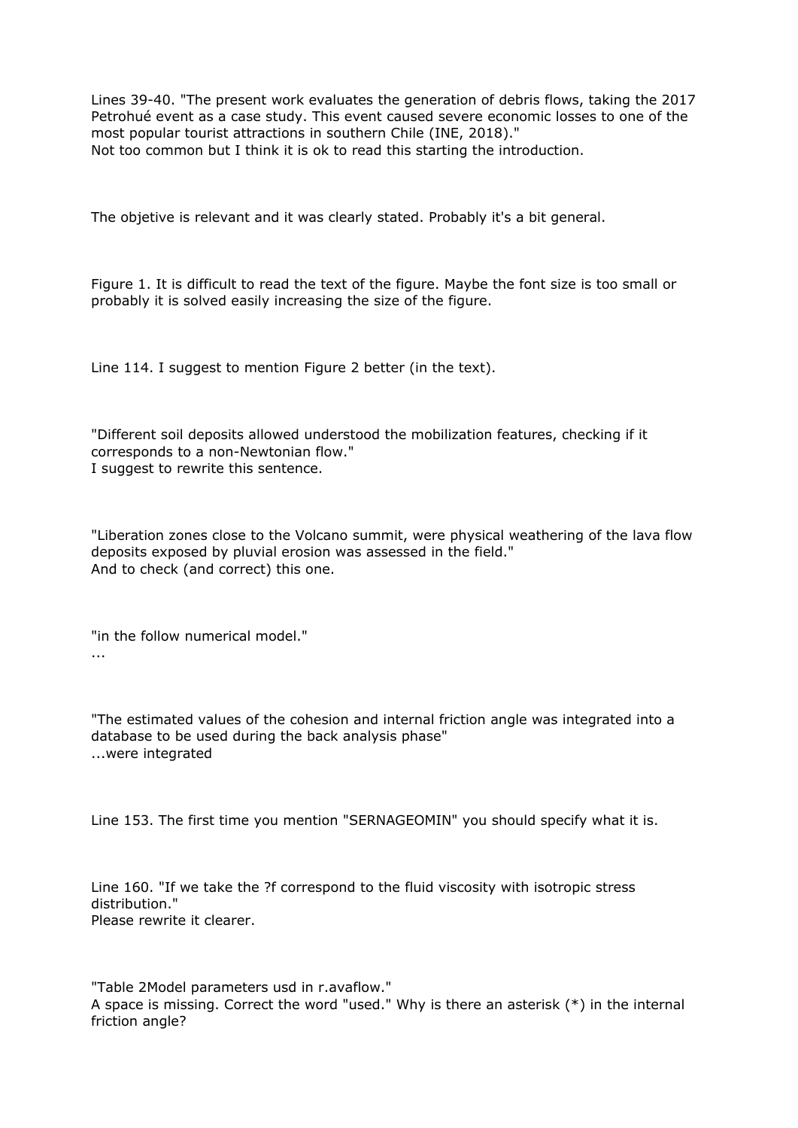Lines 39-40. "The present work evaluates the generation of debris flows, taking the 2017 Petrohué event as a case study. This event caused severe economic losses to one of the most popular tourist attractions in southern Chile (INE, 2018)." Not too common but I think it is ok to read this starting the introduction.

The objetive is relevant and it was clearly stated. Probably it's a bit general.

Figure 1. It is difficult to read the text of the figure. Maybe the font size is too small or probably it is solved easily increasing the size of the figure.

Line 114. I suggest to mention Figure 2 better (in the text).

"Different soil deposits allowed understood the mobilization features, checking if it corresponds to a non-Newtonian flow." I suggest to rewrite this sentence.

"Liberation zones close to the Volcano summit, were physical weathering of the lava flow deposits exposed by pluvial erosion was assessed in the field." And to check (and correct) this one.

"in the follow numerical model." ...

"The estimated values of the cohesion and internal friction angle was integrated into a database to be used during the back analysis phase" ...were integrated

Line 153. The first time you mention "SERNAGEOMIN" you should specify what it is.

Line 160. "If we take the ?f correspond to the fluid viscosity with isotropic stress distribution." Please rewrite it clearer.

"Table 2Model parameters usd in r.avaflow." A space is missing. Correct the word "used." Why is there an asterisk (\*) in the internal friction angle?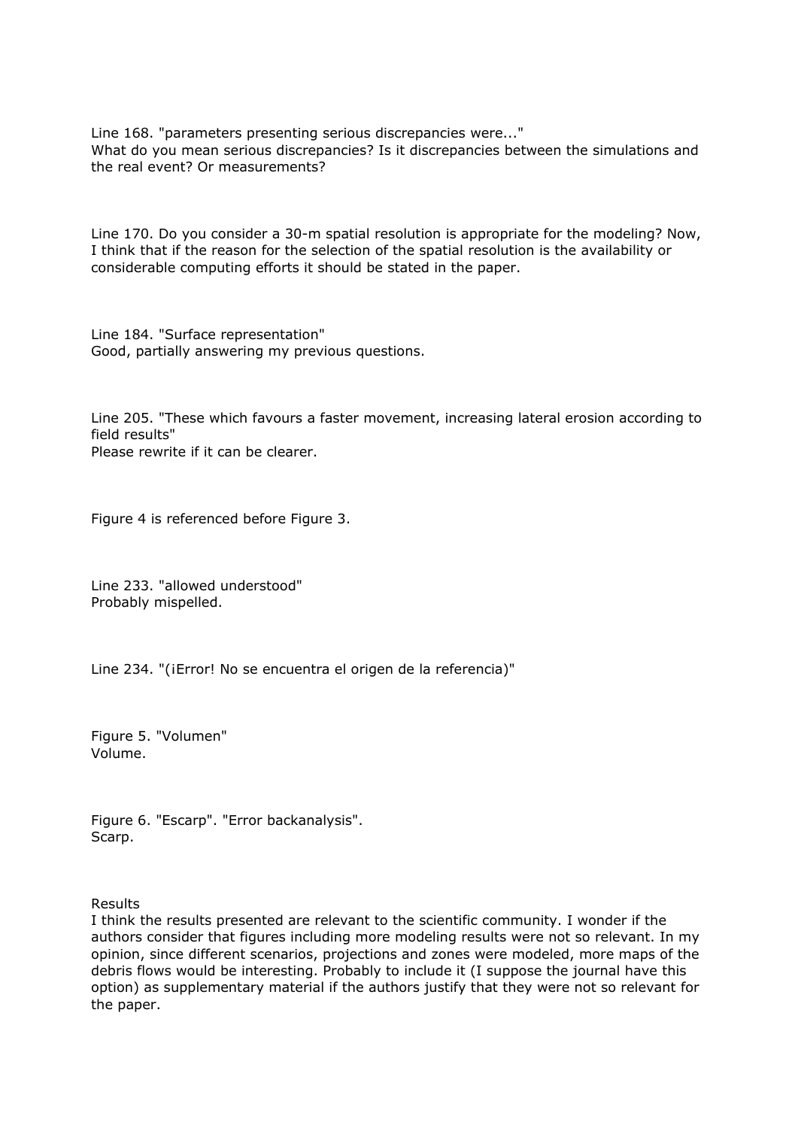Line 168. "parameters presenting serious discrepancies were..." What do you mean serious discrepancies? Is it discrepancies between the simulations and the real event? Or measurements?

Line 170. Do you consider a 30-m spatial resolution is appropriate for the modeling? Now, I think that if the reason for the selection of the spatial resolution is the availability or considerable computing efforts it should be stated in the paper.

Line 184. "Surface representation" Good, partially answering my previous questions.

Line 205. "These which favours a faster movement, increasing lateral erosion according to field results" Please rewrite if it can be clearer.

Figure 4 is referenced before Figure 3.

Line 233. "allowed understood" Probably mispelled.

Line 234. "(¡Error! No se encuentra el origen de la referencia)"

Figure 5. "Volumen" Volume.

Figure 6. "Escarp". "Error backanalysis". Scarp.

Results

I think the results presented are relevant to the scientific community. I wonder if the authors consider that figures including more modeling results were not so relevant. In my opinion, since different scenarios, projections and zones were modeled, more maps of the debris flows would be interesting. Probably to include it (I suppose the journal have this option) as supplementary material if the authors justify that they were not so relevant for the paper.